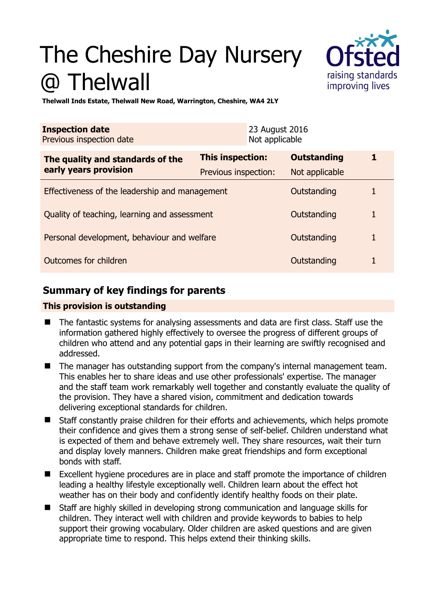# The Cheshire Day Nursery @ Thelwall



**Thelwall Inds Estate, Thelwall New Road, Warrington, Cheshire, WA4 2LY** 

| <b>Inspection date</b><br>Previous inspection date        |                         | 23 August 2016<br>Not applicable |                    |   |
|-----------------------------------------------------------|-------------------------|----------------------------------|--------------------|---|
| The quality and standards of the<br>early years provision | <b>This inspection:</b> |                                  | <b>Outstanding</b> |   |
|                                                           | Previous inspection:    |                                  | Not applicable     |   |
| Effectiveness of the leadership and management            |                         |                                  | Outstanding        |   |
| Quality of teaching, learning and assessment              |                         |                                  | Outstanding        |   |
| Personal development, behaviour and welfare               |                         |                                  | Outstanding        | 1 |
| Outcomes for children<br>Outstanding                      |                         |                                  |                    |   |

## **Summary of key findings for parents**

## **This provision is outstanding**

- The fantastic systems for analysing assessments and data are first class. Staff use the information gathered highly effectively to oversee the progress of different groups of children who attend and any potential gaps in their learning are swiftly recognised and addressed.
- The manager has outstanding support from the company's internal management team. This enables her to share ideas and use other professionals' expertise. The manager and the staff team work remarkably well together and constantly evaluate the quality of the provision. They have a shared vision, commitment and dedication towards delivering exceptional standards for children.
- Staff constantly praise children for their efforts and achievements, which helps promote their confidence and gives them a strong sense of self-belief. Children understand what is expected of them and behave extremely well. They share resources, wait their turn and display lovely manners. Children make great friendships and form exceptional bonds with staff.
- Excellent hygiene procedures are in place and staff promote the importance of children leading a healthy lifestyle exceptionally well. Children learn about the effect hot weather has on their body and confidently identify healthy foods on their plate.
- Staff are highly skilled in developing strong communication and language skills for children. They interact well with children and provide keywords to babies to help support their growing vocabulary. Older children are asked questions and are given appropriate time to respond. This helps extend their thinking skills.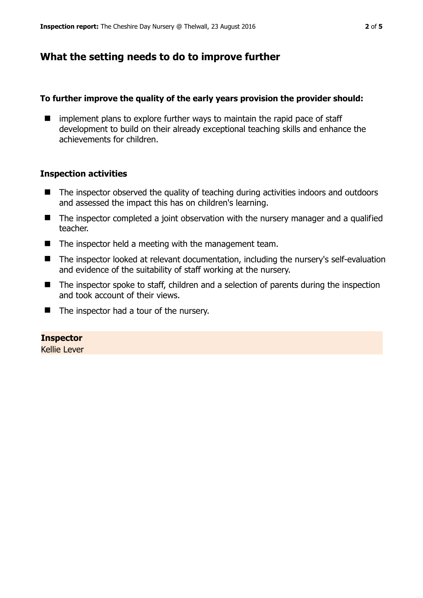## **What the setting needs to do to improve further**

#### **To further improve the quality of the early years provision the provider should:**

 $\blacksquare$  implement plans to explore further ways to maintain the rapid pace of staff development to build on their already exceptional teaching skills and enhance the achievements for children.

#### **Inspection activities**

- The inspector observed the quality of teaching during activities indoors and outdoors and assessed the impact this has on children's learning.
- The inspector completed a joint observation with the nursery manager and a qualified teacher.
- $\blacksquare$  The inspector held a meeting with the management team.
- The inspector looked at relevant documentation, including the nursery's self-evaluation and evidence of the suitability of staff working at the nursery.
- The inspector spoke to staff, children and a selection of parents during the inspection and took account of their views.
- The inspector had a tour of the nursery.

#### **Inspector**

Kellie Lever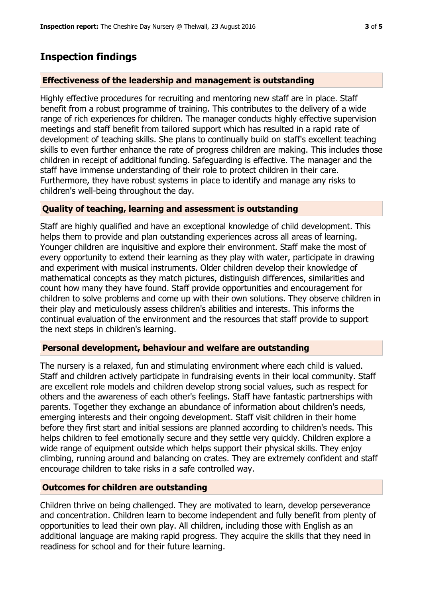## **Inspection findings**

## **Effectiveness of the leadership and management is outstanding**

Highly effective procedures for recruiting and mentoring new staff are in place. Staff benefit from a robust programme of training. This contributes to the delivery of a wide range of rich experiences for children. The manager conducts highly effective supervision meetings and staff benefit from tailored support which has resulted in a rapid rate of development of teaching skills. She plans to continually build on staff's excellent teaching skills to even further enhance the rate of progress children are making. This includes those children in receipt of additional funding. Safeguarding is effective. The manager and the staff have immense understanding of their role to protect children in their care. Furthermore, they have robust systems in place to identify and manage any risks to children's well-being throughout the day.

## **Quality of teaching, learning and assessment is outstanding**

Staff are highly qualified and have an exceptional knowledge of child development. This helps them to provide and plan outstanding experiences across all areas of learning. Younger children are inquisitive and explore their environment. Staff make the most of every opportunity to extend their learning as they play with water, participate in drawing and experiment with musical instruments. Older children develop their knowledge of mathematical concepts as they match pictures, distinguish differences, similarities and count how many they have found. Staff provide opportunities and encouragement for children to solve problems and come up with their own solutions. They observe children in their play and meticulously assess children's abilities and interests. This informs the continual evaluation of the environment and the resources that staff provide to support the next steps in children's learning.

## **Personal development, behaviour and welfare are outstanding**

The nursery is a relaxed, fun and stimulating environment where each child is valued. Staff and children actively participate in fundraising events in their local community. Staff are excellent role models and children develop strong social values, such as respect for others and the awareness of each other's feelings. Staff have fantastic partnerships with parents. Together they exchange an abundance of information about children's needs, emerging interests and their ongoing development. Staff visit children in their home before they first start and initial sessions are planned according to children's needs. This helps children to feel emotionally secure and they settle very quickly. Children explore a wide range of equipment outside which helps support their physical skills. They enjoy climbing, running around and balancing on crates. They are extremely confident and staff encourage children to take risks in a safe controlled way.

## **Outcomes for children are outstanding**

Children thrive on being challenged. They are motivated to learn, develop perseverance and concentration. Children learn to become independent and fully benefit from plenty of opportunities to lead their own play. All children, including those with English as an additional language are making rapid progress. They acquire the skills that they need in readiness for school and for their future learning.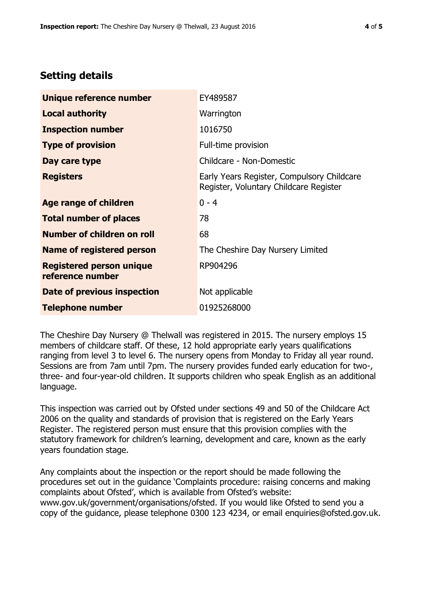## **Setting details**

| Unique reference number                             | EY489587                                                                             |  |
|-----------------------------------------------------|--------------------------------------------------------------------------------------|--|
| <b>Local authority</b>                              | Warrington                                                                           |  |
| <b>Inspection number</b>                            | 1016750                                                                              |  |
| <b>Type of provision</b>                            | Full-time provision                                                                  |  |
| Day care type                                       | Childcare - Non-Domestic                                                             |  |
| <b>Registers</b>                                    | Early Years Register, Compulsory Childcare<br>Register, Voluntary Childcare Register |  |
| Age range of children                               | $0 - 4$                                                                              |  |
| <b>Total number of places</b>                       | 78                                                                                   |  |
| Number of children on roll                          | 68                                                                                   |  |
| Name of registered person                           | The Cheshire Day Nursery Limited                                                     |  |
| <b>Registered person unique</b><br>reference number | RP904296                                                                             |  |
| Date of previous inspection                         | Not applicable                                                                       |  |
| <b>Telephone number</b>                             | 01925268000                                                                          |  |

The Cheshire Day Nursery @ Thelwall was registered in 2015. The nursery employs 15 members of childcare staff. Of these, 12 hold appropriate early years qualifications ranging from level 3 to level 6. The nursery opens from Monday to Friday all year round. Sessions are from 7am until 7pm. The nursery provides funded early education for two-, three- and four-year-old children. It supports children who speak English as an additional language.

This inspection was carried out by Ofsted under sections 49 and 50 of the Childcare Act 2006 on the quality and standards of provision that is registered on the Early Years Register. The registered person must ensure that this provision complies with the statutory framework for children's learning, development and care, known as the early years foundation stage.

Any complaints about the inspection or the report should be made following the procedures set out in the guidance 'Complaints procedure: raising concerns and making complaints about Ofsted', which is available from Ofsted's website: www.gov.uk/government/organisations/ofsted. If you would like Ofsted to send you a copy of the guidance, please telephone 0300 123 4234, or email enquiries@ofsted.gov.uk.